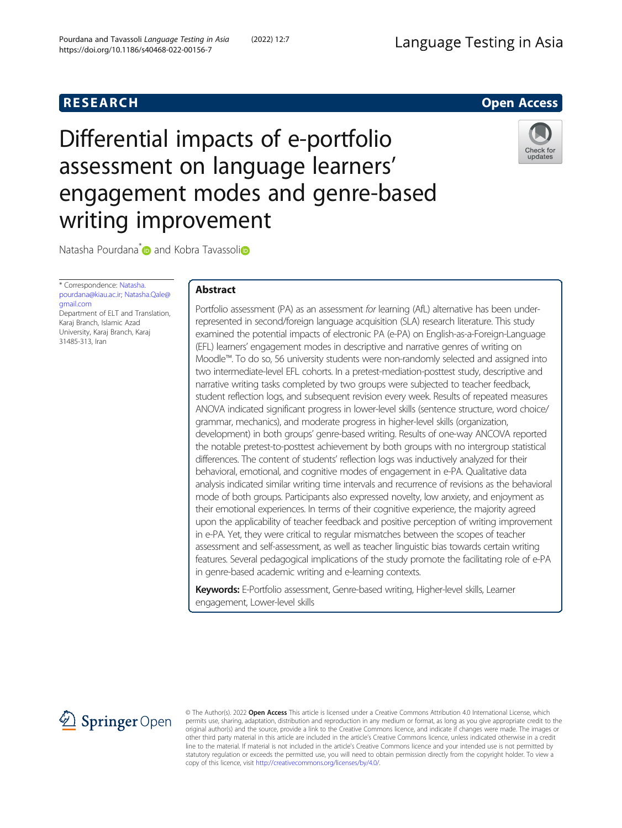# **RESEARCH RESEARCH** *CHECKER CHECKER CHECKER CHECKER CHECKER CHECKER CHECKER CHECKER CHECKER CHECKER CHECKER*

# Differential impacts of e-portfolio assessment on language learners' engagement modes and genre-based writing improvement



Natasha Pourdana<sup>\*</sup> and Kobra Tavassol[i](https://orcid.org/0000-0002-8246-8584)<sup>n</sup>

\* Correspondence: [Natasha.](mailto:Natasha.pourdana@kiau.ac.ir) [pourdana@kiau.ac.ir;](mailto:Natasha.pourdana@kiau.ac.ir) [Natasha.Qale@](mailto:Natasha.Qale@gmail.com) [gmail.com](mailto:Natasha.Qale@gmail.com) Department of ELT and Translation, Karaj Branch, Islamic Azad

University, Karaj Branch, Karaj 31485-313, Iran

# Abstract

Portfolio assessment (PA) as an assessment for learning (AfL) alternative has been underrepresented in second/foreign language acquisition (SLA) research literature. This study examined the potential impacts of electronic PA (e-PA) on English-as-a-Foreign-Language (EFL) learners' engagement modes in descriptive and narrative genres of writing on Moodle™. To do so, 56 university students were non-randomly selected and assigned into two intermediate-level EFL cohorts. In a pretest-mediation-posttest study, descriptive and narrative writing tasks completed by two groups were subjected to teacher feedback, student reflection logs, and subsequent revision every week. Results of repeated measures ANOVA indicated significant progress in lower-level skills (sentence structure, word choice/ grammar, mechanics), and moderate progress in higher-level skills (organization, development) in both groups' genre-based writing. Results of one-way ANCOVA reported the notable pretest-to-posttest achievement by both groups with no intergroup statistical differences. The content of students' reflection logs was inductively analyzed for their behavioral, emotional, and cognitive modes of engagement in e-PA. Qualitative data analysis indicated similar writing time intervals and recurrence of revisions as the behavioral mode of both groups. Participants also expressed novelty, low anxiety, and enjoyment as their emotional experiences. In terms of their cognitive experience, the majority agreed upon the applicability of teacher feedback and positive perception of writing improvement in e-PA. Yet, they were critical to regular mismatches between the scopes of teacher assessment and self-assessment, as well as teacher linguistic bias towards certain writing features. Several pedagogical implications of the study promote the facilitating role of e-PA in genre-based academic writing and e-learning contexts.

Keywords: E-Portfolio assessment, Genre-based writing, Higher-level skills, Learner engagement, Lower-level skills



© The Author(s). 2022 Open Access This article is licensed under a Creative Commons Attribution 4.0 International License, which permits use, sharing, adaptation, distribution and reproduction in any medium or format, as long as you give appropriate credit to the original author(s) and the source, provide a link to the Creative Commons licence, and indicate if changes were made. The images or other third party material in this article are included in the article's Creative Commons licence, unless indicated otherwise in a credit line to the material. If material is not included in the article's Creative Commons licence and your intended use is not permitted by statutory regulation or exceeds the permitted use, you will need to obtain permission directly from the copyright holder. To view a copy of this licence, visit <http://creativecommons.org/licenses/by/4.0/>.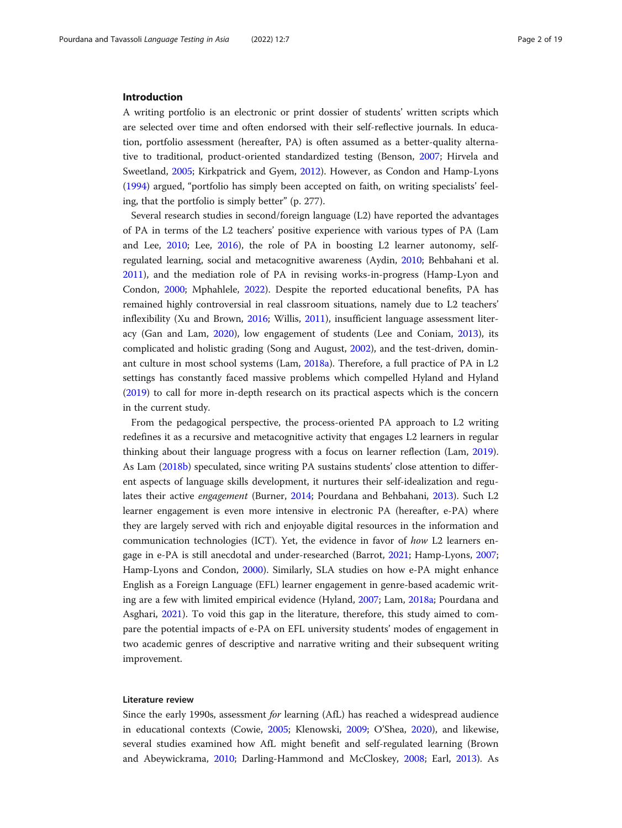#### Introduction

A writing portfolio is an electronic or print dossier of students' written scripts which are selected over time and often endorsed with their self-reflective journals. In education, portfolio assessment (hereafter, PA) is often assumed as a better-quality alternative to traditional, product-oriented standardized testing (Benson, [2007](#page-16-0); Hirvela and Sweetland, [2005](#page-17-0); Kirkpatrick and Gyem, [2012](#page-17-0)). However, as Condon and Hamp-Lyons ([1994](#page-16-0)) argued, "portfolio has simply been accepted on faith, on writing specialists' feeling, that the portfolio is simply better" (p. 277).

Several research studies in second/foreign language (L2) have reported the advantages of PA in terms of the L2 teachers' positive experience with various types of PA (Lam and Lee, [2010](#page-17-0); Lee, [2016](#page-17-0)), the role of PA in boosting L2 learner autonomy, selfregulated learning, social and metacognitive awareness (Aydin, [2010](#page-16-0); Behbahani et al. [2011](#page-16-0)), and the mediation role of PA in revising works-in-progress (Hamp-Lyon and Condon, [2000](#page-17-0); Mphahlele, [2022\)](#page-17-0). Despite the reported educational benefits, PA has remained highly controversial in real classroom situations, namely due to L2 teachers' inflexibility (Xu and Brown, [2016;](#page-18-0) Willis, [2011\)](#page-18-0), insufficient language assessment literacy (Gan and Lam, [2020](#page-17-0)), low engagement of students (Lee and Coniam, [2013](#page-17-0)), its complicated and holistic grading (Song and August, [2002](#page-18-0)), and the test-driven, dominant culture in most school systems (Lam, [2018a](#page-17-0)). Therefore, a full practice of PA in L2 settings has constantly faced massive problems which compelled Hyland and Hyland ([2019](#page-17-0)) to call for more in-depth research on its practical aspects which is the concern in the current study.

From the pedagogical perspective, the process-oriented PA approach to L2 writing redefines it as a recursive and metacognitive activity that engages L2 learners in regular thinking about their language progress with a focus on learner reflection (Lam, [2019](#page-17-0)). As Lam [\(2018b](#page-17-0)) speculated, since writing PA sustains students' close attention to different aspects of language skills development, it nurtures their self-idealization and regulates their active engagement (Burner, [2014](#page-16-0); Pourdana and Behbahani, [2013](#page-18-0)). Such L2 learner engagement is even more intensive in electronic PA (hereafter, e-PA) where they are largely served with rich and enjoyable digital resources in the information and communication technologies (ICT). Yet, the evidence in favor of how L2 learners engage in e-PA is still anecdotal and under-researched (Barrot, [2021;](#page-16-0) Hamp-Lyons, [2007](#page-17-0); Hamp-Lyons and Condon, [2000](#page-17-0)). Similarly, SLA studies on how e-PA might enhance English as a Foreign Language (EFL) learner engagement in genre-based academic writing are a few with limited empirical evidence (Hyland, [2007;](#page-17-0) Lam, [2018a](#page-17-0); Pourdana and Asghari, [2021\)](#page-18-0). To void this gap in the literature, therefore, this study aimed to compare the potential impacts of e-PA on EFL university students' modes of engagement in two academic genres of descriptive and narrative writing and their subsequent writing improvement.

## Literature review

Since the early 1990s, assessment for learning (AfL) has reached a widespread audience in educational contexts (Cowie, [2005](#page-16-0); Klenowski, [2009;](#page-17-0) O'Shea, [2020\)](#page-17-0), and likewise, several studies examined how AfL might benefit and self-regulated learning (Brown and Abeywickrama, [2010;](#page-16-0) Darling-Hammond and McCloskey, [2008;](#page-16-0) Earl, [2013\)](#page-16-0). As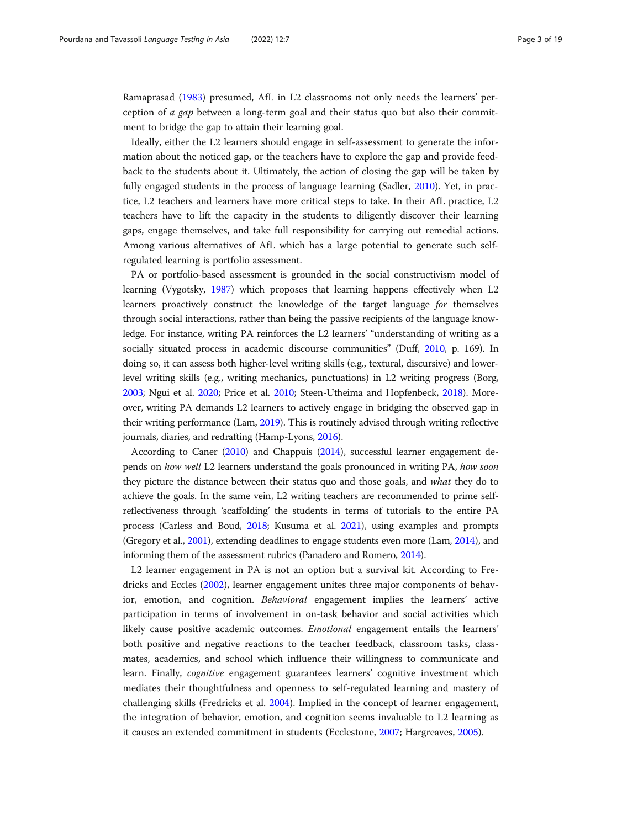Ramaprasad [\(1983\)](#page-18-0) presumed, AfL in L2 classrooms not only needs the learners' perception of a gap between a long-term goal and their status quo but also their commitment to bridge the gap to attain their learning goal.

Ideally, either the L2 learners should engage in self-assessment to generate the information about the noticed gap, or the teachers have to explore the gap and provide feedback to the students about it. Ultimately, the action of closing the gap will be taken by fully engaged students in the process of language learning (Sadler, [2010\)](#page-18-0). Yet, in practice, L2 teachers and learners have more critical steps to take. In their AfL practice, L2 teachers have to lift the capacity in the students to diligently discover their learning gaps, engage themselves, and take full responsibility for carrying out remedial actions. Among various alternatives of AfL which has a large potential to generate such selfregulated learning is portfolio assessment.

PA or portfolio-based assessment is grounded in the social constructivism model of learning (Vygotsky, [1987](#page-18-0)) which proposes that learning happens effectively when L2 learners proactively construct the knowledge of the target language for themselves through social interactions, rather than being the passive recipients of the language knowledge. For instance, writing PA reinforces the L2 learners' "understanding of writing as a socially situated process in academic discourse communities" (Duff, [2010,](#page-16-0) p. 169). In doing so, it can assess both higher-level writing skills (e.g., textural, discursive) and lowerlevel writing skills (e.g., writing mechanics, punctuations) in L2 writing progress (Borg, [2003;](#page-16-0) Ngui et al. [2020](#page-17-0); Price et al. [2010;](#page-18-0) Steen-Utheima and Hopfenbeck, [2018](#page-18-0)). Moreover, writing PA demands L2 learners to actively engage in bridging the observed gap in their writing performance (Lam, [2019](#page-17-0)). This is routinely advised through writing reflective journals, diaries, and redrafting (Hamp-Lyons, [2016\)](#page-17-0).

According to Caner ([2010\)](#page-16-0) and Chappuis ([2014](#page-16-0)), successful learner engagement depends on how well L2 learners understand the goals pronounced in writing PA, how soon they picture the distance between their status quo and those goals, and what they do to achieve the goals. In the same vein, L2 writing teachers are recommended to prime selfreflectiveness through 'scaffolding' the students in terms of tutorials to the entire PA process (Carless and Boud, [2018;](#page-16-0) Kusuma et al. [2021\)](#page-17-0), using examples and prompts (Gregory et al., [2001\)](#page-17-0), extending deadlines to engage students even more (Lam, [2014\)](#page-17-0), and informing them of the assessment rubrics (Panadero and Romero, [2014\)](#page-17-0).

L2 learner engagement in PA is not an option but a survival kit. According to Fredricks and Eccles ([2002\)](#page-17-0), learner engagement unites three major components of behavior, emotion, and cognition. Behavioral engagement implies the learners' active participation in terms of involvement in on-task behavior and social activities which likely cause positive academic outcomes. Emotional engagement entails the learners' both positive and negative reactions to the teacher feedback, classroom tasks, classmates, academics, and school which influence their willingness to communicate and learn. Finally, cognitive engagement guarantees learners' cognitive investment which mediates their thoughtfulness and openness to self-regulated learning and mastery of challenging skills (Fredricks et al. [2004\)](#page-17-0). Implied in the concept of learner engagement, the integration of behavior, emotion, and cognition seems invaluable to L2 learning as it causes an extended commitment in students (Ecclestone, [2007;](#page-16-0) Hargreaves, [2005](#page-17-0)).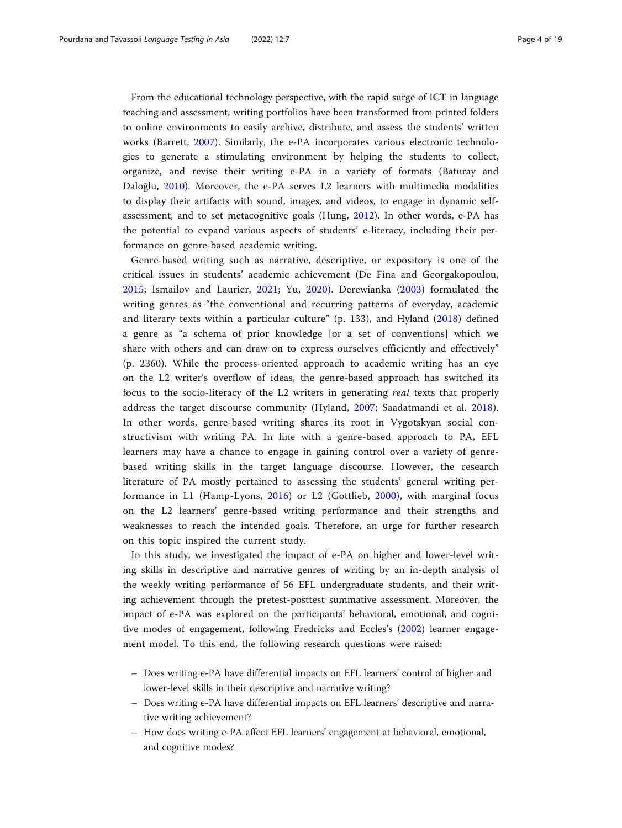From the educational technology perspective, with the rapid surge of ICT in language teaching and assessment, writing portfolios have been transformed from printed folders to online environments to easily archive, distribute, and assess the students' written works (Barrett, [2007\)](#page-16-0). Similarly, the e-PA incorporates various electronic technologies to generate a stimulating environment by helping the students to collect, organize, and revise their writing e-PA in a variety of formats (Baturay and Daloğlu, [2010\)](#page-16-0). Moreover, the e-PA serves L2 learners with multimedia modalities to display their artifacts with sound, images, and videos, to engage in dynamic selfassessment, and to set metacognitive goals (Hung, [2012](#page-17-0)). In other words, e-PA has the potential to expand various aspects of students' e-literacy, including their performance on genre-based academic writing.

Genre-based writing such as narrative, descriptive, or expository is one of the critical issues in students' academic achievement (De Fina and Georgakopoulou, [2015](#page-16-0); Ismailov and Laurier, [2021](#page-17-0); Yu, [2020\)](#page-18-0). Derewianka [\(2003\)](#page-16-0) formulated the writing genres as "the conventional and recurring patterns of everyday, academic and literary texts within a particular culture" (p. 133), and Hyland ([2018\)](#page-17-0) defined a genre as "a schema of prior knowledge [or a set of conventions] which we share with others and can draw on to express ourselves efficiently and effectively" (p. 2360). While the process-oriented approach to academic writing has an eye on the L2 writer's overflow of ideas, the genre-based approach has switched its focus to the socio-literacy of the L2 writers in generating real texts that properly address the target discourse community (Hyland, [2007](#page-17-0); Saadatmandi et al. [2018](#page-18-0)). In other words, genre-based writing shares its root in Vygotskyan social constructivism with writing PA. In line with a genre-based approach to PA, EFL learners may have a chance to engage in gaining control over a variety of genrebased writing skills in the target language discourse. However, the research literature of PA mostly pertained to assessing the students' general writing performance in L1 (Hamp-Lyons, [2016\)](#page-17-0) or L2 (Gottlieb, [2000\)](#page-17-0), with marginal focus on the L2 learners' genre-based writing performance and their strengths and weaknesses to reach the intended goals. Therefore, an urge for further research on this topic inspired the current study.

In this study, we investigated the impact of e-PA on higher and lower-level writing skills in descriptive and narrative genres of writing by an in-depth analysis of the weekly writing performance of 56 EFL undergraduate students, and their writing achievement through the pretest-posttest summative assessment. Moreover, the impact of e-PA was explored on the participants' behavioral, emotional, and cognitive modes of engagement, following Fredricks and Eccles's ([2002\)](#page-17-0) learner engagement model. To this end, the following research questions were raised:

- Does writing e-PA have differential impacts on EFL learners' control of higher and lower-level skills in their descriptive and narrative writing?
- Does writing e-PA have differential impacts on EFL learners' descriptive and narrative writing achievement?
- How does writing e-PA affect EFL learners' engagement at behavioral, emotional, and cognitive modes?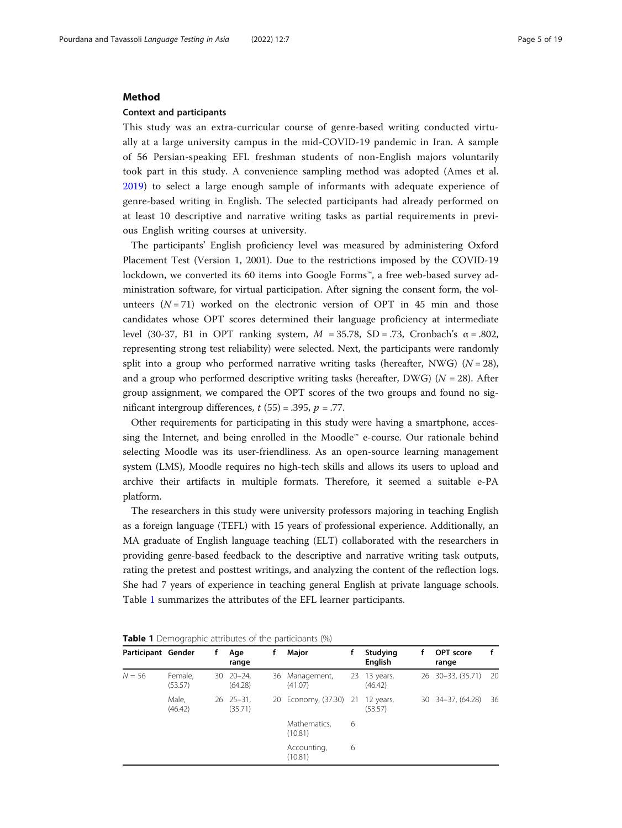#### Method

#### Context and participants

This study was an extra-curricular course of genre-based writing conducted virtually at a large university campus in the mid-COVID-19 pandemic in Iran. A sample of 56 Persian-speaking EFL freshman students of non-English majors voluntarily took part in this study. A convenience sampling method was adopted (Ames et al. [2019\)](#page-16-0) to select a large enough sample of informants with adequate experience of genre-based writing in English. The selected participants had already performed on at least 10 descriptive and narrative writing tasks as partial requirements in previous English writing courses at university.

The participants' English proficiency level was measured by administering Oxford Placement Test (Version 1, 2001). Due to the restrictions imposed by the COVID-19 lockdown, we converted its 60 items into Google Forms™, a free web-based survey administration software, for virtual participation. After signing the consent form, the volunteers  $(N = 71)$  worked on the electronic version of OPT in 45 min and those candidates whose OPT scores determined their language proficiency at intermediate level (30-37, B1 in OPT ranking system, M = 35.78, SD = .73, Cronbach's α = .802, representing strong test reliability) were selected. Next, the participants were randomly split into a group who performed narrative writing tasks (hereafter, NWG) ( $N = 28$ ), and a group who performed descriptive writing tasks (hereafter, DWG) ( $N = 28$ ). After group assignment, we compared the OPT scores of the two groups and found no significant intergroup differences,  $t$  (55) = .395,  $p = .77$ .

Other requirements for participating in this study were having a smartphone, accessing the Internet, and being enrolled in the Moodle™ e-course. Our rationale behind selecting Moodle was its user-friendliness. As an open-source learning management system (LMS), Moodle requires no high-tech skills and allows its users to upload and archive their artifacts in multiple formats. Therefore, it seemed a suitable e-PA platform.

The researchers in this study were university professors majoring in teaching English as a foreign language (TEFL) with 15 years of professional experience. Additionally, an MA graduate of English language teaching (ELT) collaborated with the researchers in providing genre-based feedback to the descriptive and narrative writing task outputs, rating the pretest and posttest writings, and analyzing the content of the reflection logs. She had 7 years of experience in teaching general English at private language schools. Table 1 summarizes the attributes of the EFL learner participants.

| Participant Gender |                    | Age<br>range                  |    | Major                   |   | Studying<br><b>English</b> | OPT score<br>range  |    |
|--------------------|--------------------|-------------------------------|----|-------------------------|---|----------------------------|---------------------|----|
| $N = 56$           | Female,<br>(53.57) | $30 \quad 20 - 24$<br>(64.28) | 36 | Management,<br>(41.07)  |   | 23 13 years,<br>(46.42)    | 26 30-33, (35.71)   | 20 |
|                    | Male,<br>(46.42)   | $26 \quad 25 - 31$<br>(35.71) |    | 20 Economy, (37.30) 21  |   | 12 years,<br>(53.57)       | 30 34 - 37, (64.28) | 36 |
|                    |                    |                               |    | Mathematics,<br>(10.81) | 6 |                            |                     |    |
|                    |                    |                               |    | Accounting,<br>(10.81)  | 6 |                            |                     |    |

**Table 1** Demographic attributes of the participants (%)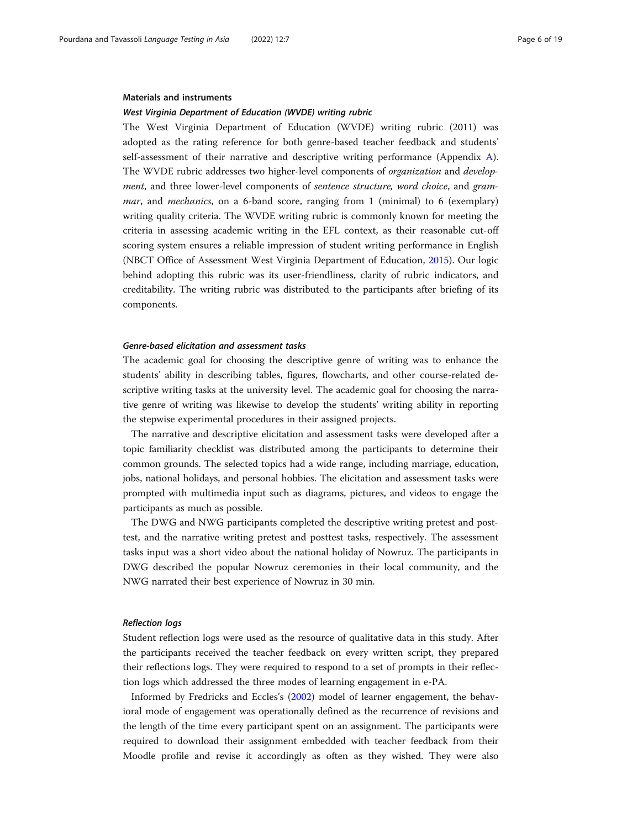#### Materials and instruments

#### West Virginia Department of Education (WVDE) writing rubric

The West Virginia Department of Education (WVDE) writing rubric (2011) was adopted as the rating reference for both genre-based teacher feedback and students' self-assessment of their narrative and descriptive writing performance (Appendix [A](#page-15-0)). The WVDE rubric addresses two higher-level components of organization and development, and three lower-level components of sentence structure, word choice, and gram*mar*, and *mechanics*, on a 6-band score, ranging from 1 (minimal) to 6 (exemplary) writing quality criteria. The WVDE writing rubric is commonly known for meeting the criteria in assessing academic writing in the EFL context, as their reasonable cut-off scoring system ensures a reliable impression of student writing performance in English (NBCT Office of Assessment West Virginia Department of Education, [2015](#page-17-0)). Our logic behind adopting this rubric was its user-friendliness, clarity of rubric indicators, and creditability. The writing rubric was distributed to the participants after briefing of its components.

## Genre-based elicitation and assessment tasks

The academic goal for choosing the descriptive genre of writing was to enhance the students' ability in describing tables, figures, flowcharts, and other course-related descriptive writing tasks at the university level. The academic goal for choosing the narrative genre of writing was likewise to develop the students' writing ability in reporting the stepwise experimental procedures in their assigned projects.

The narrative and descriptive elicitation and assessment tasks were developed after a topic familiarity checklist was distributed among the participants to determine their common grounds. The selected topics had a wide range, including marriage, education, jobs, national holidays, and personal hobbies. The elicitation and assessment tasks were prompted with multimedia input such as diagrams, pictures, and videos to engage the participants as much as possible.

The DWG and NWG participants completed the descriptive writing pretest and posttest, and the narrative writing pretest and posttest tasks, respectively. The assessment tasks input was a short video about the national holiday of Nowruz. The participants in DWG described the popular Nowruz ceremonies in their local community, and the NWG narrated their best experience of Nowruz in 30 min.

#### Reflection logs

Student reflection logs were used as the resource of qualitative data in this study. After the participants received the teacher feedback on every written script, they prepared their reflections logs. They were required to respond to a set of prompts in their reflection logs which addressed the three modes of learning engagement in e-PA.

Informed by Fredricks and Eccles's ([2002](#page-17-0)) model of learner engagement, the behavioral mode of engagement was operationally defined as the recurrence of revisions and the length of the time every participant spent on an assignment. The participants were required to download their assignment embedded with teacher feedback from their Moodle profile and revise it accordingly as often as they wished. They were also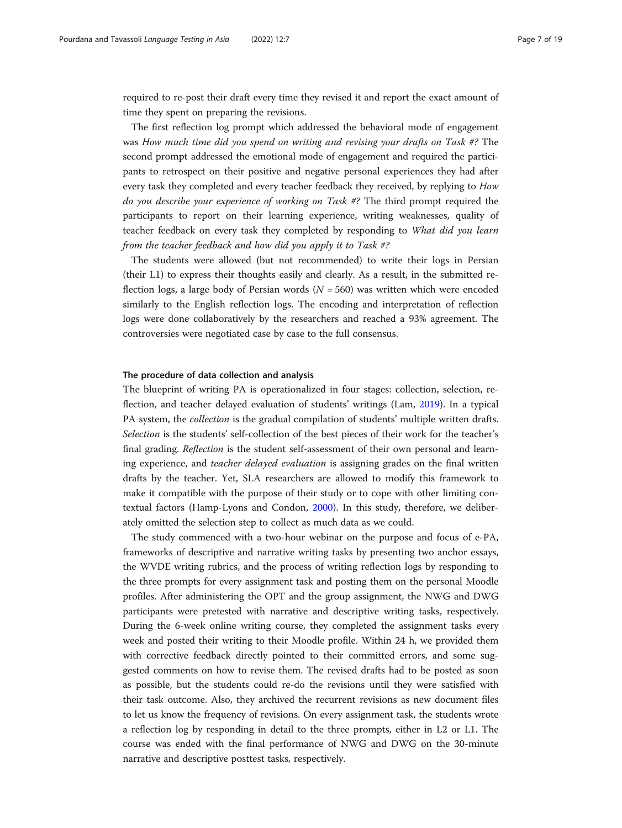required to re-post their draft every time they revised it and report the exact amount of time they spent on preparing the revisions.

The first reflection log prompt which addressed the behavioral mode of engagement was How much time did you spend on writing and revising your drafts on Task #? The second prompt addressed the emotional mode of engagement and required the participants to retrospect on their positive and negative personal experiences they had after every task they completed and every teacher feedback they received, by replying to How do you describe your experience of working on Task #? The third prompt required the participants to report on their learning experience, writing weaknesses, quality of teacher feedback on every task they completed by responding to What did you learn from the teacher feedback and how did you apply it to Task #?

The students were allowed (but not recommended) to write their logs in Persian (their L1) to express their thoughts easily and clearly. As a result, in the submitted reflection logs, a large body of Persian words  $(N = 560)$  was written which were encoded similarly to the English reflection logs. The encoding and interpretation of reflection logs were done collaboratively by the researchers and reached a 93% agreement. The controversies were negotiated case by case to the full consensus.

# The procedure of data collection and analysis

The blueprint of writing PA is operationalized in four stages: collection, selection, reflection, and teacher delayed evaluation of students' writings (Lam, [2019](#page-17-0)). In a typical PA system, the collection is the gradual compilation of students' multiple written drafts. Selection is the students' self-collection of the best pieces of their work for the teacher's final grading. Reflection is the student self-assessment of their own personal and learning experience, and *teacher delayed evaluation* is assigning grades on the final written drafts by the teacher. Yet, SLA researchers are allowed to modify this framework to make it compatible with the purpose of their study or to cope with other limiting contextual factors (Hamp-Lyons and Condon, [2000\)](#page-17-0). In this study, therefore, we deliberately omitted the selection step to collect as much data as we could.

The study commenced with a two-hour webinar on the purpose and focus of e-PA, frameworks of descriptive and narrative writing tasks by presenting two anchor essays, the WVDE writing rubrics, and the process of writing reflection logs by responding to the three prompts for every assignment task and posting them on the personal Moodle profiles. After administering the OPT and the group assignment, the NWG and DWG participants were pretested with narrative and descriptive writing tasks, respectively. During the 6-week online writing course, they completed the assignment tasks every week and posted their writing to their Moodle profile. Within 24 h, we provided them with corrective feedback directly pointed to their committed errors, and some suggested comments on how to revise them. The revised drafts had to be posted as soon as possible, but the students could re-do the revisions until they were satisfied with their task outcome. Also, they archived the recurrent revisions as new document files to let us know the frequency of revisions. On every assignment task, the students wrote a reflection log by responding in detail to the three prompts, either in L2 or L1. The course was ended with the final performance of NWG and DWG on the 30-minute narrative and descriptive posttest tasks, respectively.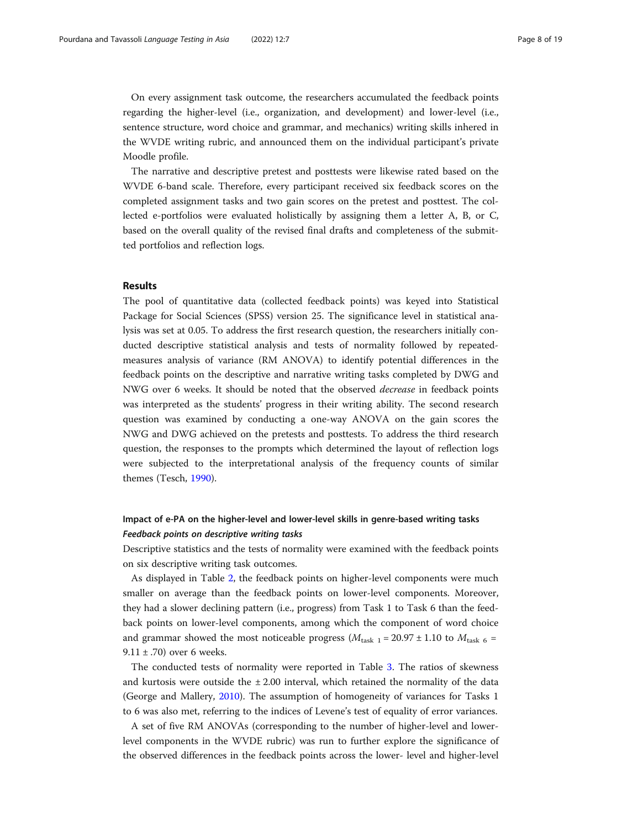On every assignment task outcome, the researchers accumulated the feedback points regarding the higher-level (i.e., organization, and development) and lower-level (i.e., sentence structure, word choice and grammar, and mechanics) writing skills inhered in the WVDE writing rubric, and announced them on the individual participant's private Moodle profile.

The narrative and descriptive pretest and posttests were likewise rated based on the WVDE 6-band scale. Therefore, every participant received six feedback scores on the completed assignment tasks and two gain scores on the pretest and posttest. The collected e-portfolios were evaluated holistically by assigning them a letter A, B, or C, based on the overall quality of the revised final drafts and completeness of the submitted portfolios and reflection logs.

# Results

The pool of quantitative data (collected feedback points) was keyed into Statistical Package for Social Sciences (SPSS) version 25. The significance level in statistical analysis was set at 0.05. To address the first research question, the researchers initially conducted descriptive statistical analysis and tests of normality followed by repeatedmeasures analysis of variance (RM ANOVA) to identify potential differences in the feedback points on the descriptive and narrative writing tasks completed by DWG and NWG over 6 weeks. It should be noted that the observed *decrease* in feedback points was interpreted as the students' progress in their writing ability. The second research question was examined by conducting a one-way ANOVA on the gain scores the NWG and DWG achieved on the pretests and posttests. To address the third research question, the responses to the prompts which determined the layout of reflection logs were subjected to the interpretational analysis of the frequency counts of similar themes (Tesch, [1990](#page-18-0)).

# Impact of e-PA on the higher-level and lower-level skills in genre-based writing tasks Feedback points on descriptive writing tasks

Descriptive statistics and the tests of normality were examined with the feedback points on six descriptive writing task outcomes.

As displayed in Table [2](#page-8-0), the feedback points on higher-level components were much smaller on average than the feedback points on lower-level components. Moreover, they had a slower declining pattern (i.e., progress) from Task 1 to Task 6 than the feedback points on lower-level components, among which the component of word choice and grammar showed the most noticeable progress ( $M_{\text{task 1}} = 20.97 \pm 1.10$  to  $M_{\text{task 6}} =$ 9.11  $\pm$  .70) over 6 weeks.

The conducted tests of normality were reported in Table [3.](#page-8-0) The ratios of skewness and kurtosis were outside the  $\pm 2.00$  interval, which retained the normality of the data (George and Mallery, [2010](#page-17-0)). The assumption of homogeneity of variances for Tasks 1 to 6 was also met, referring to the indices of Levene's test of equality of error variances.

A set of five RM ANOVAs (corresponding to the number of higher-level and lowerlevel components in the WVDE rubric) was run to further explore the significance of the observed differences in the feedback points across the lower- level and higher-level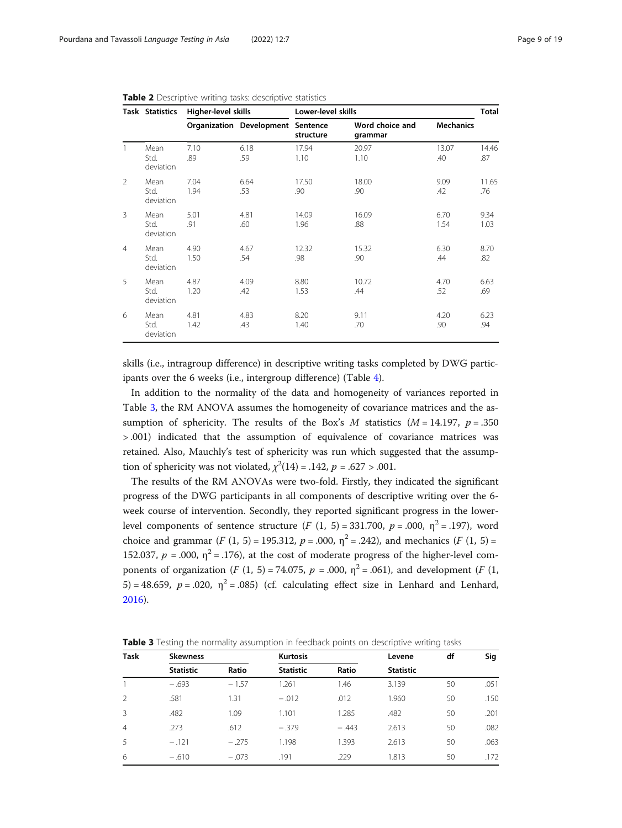|                | <b>Task Statistics</b>    | Higher-level skills |                                   |               | Lower-level skills                             |              |              |  |
|----------------|---------------------------|---------------------|-----------------------------------|---------------|------------------------------------------------|--------------|--------------|--|
|                |                           |                     | Organization Development Sentence | structure     | Word choice and<br><b>Mechanics</b><br>grammar |              |              |  |
| $\mathbf{1}$   | Mean<br>Std.<br>deviation | 7.10<br>.89         | 6.18<br>.59                       | 17.94<br>1.10 | 20.97<br>1.10                                  | 13.07<br>.40 | 14.46<br>.87 |  |
| $\mathcal{P}$  | Mean<br>Std.<br>deviation | 7.04<br>1.94        | 6.64<br>.53                       | 17.50<br>.90  | 18.00<br>.90                                   | 9.09<br>.42  | 11.65<br>.76 |  |
| 3              | Mean<br>Std.<br>deviation | 5.01<br>.91         | 4.81<br>.60                       | 14.09<br>1.96 | 16.09<br>.88                                   | 6.70<br>1.54 | 9.34<br>1.03 |  |
| $\overline{4}$ | Mean<br>Std.<br>deviation | 4.90<br>1.50        | 4.67<br>.54                       | 12.32<br>.98  | 15.32<br>.90                                   | 6.30<br>.44  | 8.70<br>.82  |  |
| 5              | Mean<br>Std.<br>deviation | 4.87<br>1.20        | 4.09<br>.42                       | 8.80<br>1.53  | 10.72<br>.44                                   | 4.70<br>.52  | 6.63<br>.69  |  |
| 6              | Mean<br>Std.<br>deviation | 4.81<br>1.42        | 4.83<br>.43                       | 8.20<br>1.40  | 9.11<br>.70                                    | 4.20<br>.90  | 6.23<br>.94  |  |

<span id="page-8-0"></span>Table 2 Descriptive writing tasks: descriptive statistics

skills (i.e., intragroup difference) in descriptive writing tasks completed by DWG participants over the 6 weeks (i.e., intergroup difference) (Table [4\)](#page-9-0).

In addition to the normality of the data and homogeneity of variances reported in Table 3, the RM ANOVA assumes the homogeneity of covariance matrices and the assumption of sphericity. The results of the Box's M statistics ( $M = 14.197$ ,  $p = .350$ > .001) indicated that the assumption of equivalence of covariance matrices was retained. Also, Mauchly's test of sphericity was run which suggested that the assumption of sphericity was not violated,  $\chi^2(14) = .142$ ,  $p = .627 > .001$ .

The results of the RM ANOVAs were two-fold. Firstly, they indicated the significant progress of the DWG participants in all components of descriptive writing over the 6 week course of intervention. Secondly, they reported significant progress in the lowerlevel components of sentence structure  $(F (1, 5) = 331.700, p = .000, \eta^2 = .197)$ , word choice and grammar (F (1, 5) = 195.312,  $p = .000$ ,  $\eta^2 = .242$ ), and mechanics (F (1, 5) = 152.037,  $p = .000$ ,  $\eta^2 = .176$ ), at the cost of moderate progress of the higher-level components of organization (*F* (1, 5) = 74.075,  $p = .000$ ,  $\eta^2 = .061$ ), and development (*F* (1, 5) = 48.659,  $p = .020$ ,  $\eta^2 = .085$ ) (cf. calculating effect size in Lenhard and Lenhard, [2016](#page-17-0)).

**Table 3** Testing the normality assumption in feedback points on descriptive writing tasks

| <b>Task</b>    | <b>Skewness</b>  |         | <b>Kurtosis</b>  |         | Levene           | df | Sig  |
|----------------|------------------|---------|------------------|---------|------------------|----|------|
|                | <b>Statistic</b> | Ratio   | <b>Statistic</b> | Ratio   | <b>Statistic</b> |    |      |
|                | $-.693$          | $-1.57$ | 1.261            | 1.46    | 3.139            | 50 | .051 |
| $\mathcal{L}$  | .581             | 1.31    | $-.012$          | .012    | 1.960            | 50 | .150 |
| 3              | .482             | 1.09    | 1.101            | 1.285   | .482             | 50 | .201 |
| $\overline{4}$ | .273             | .612    | $-.379$          | $-.443$ | 2.613            | 50 | .082 |
| 5              | $-.121$          | $-.275$ | 1.198            | 1.393   | 2.613            | 50 | .063 |
| 6              | $-.610$          | $-.073$ | .191             | .229    | 1.813            | 50 | .172 |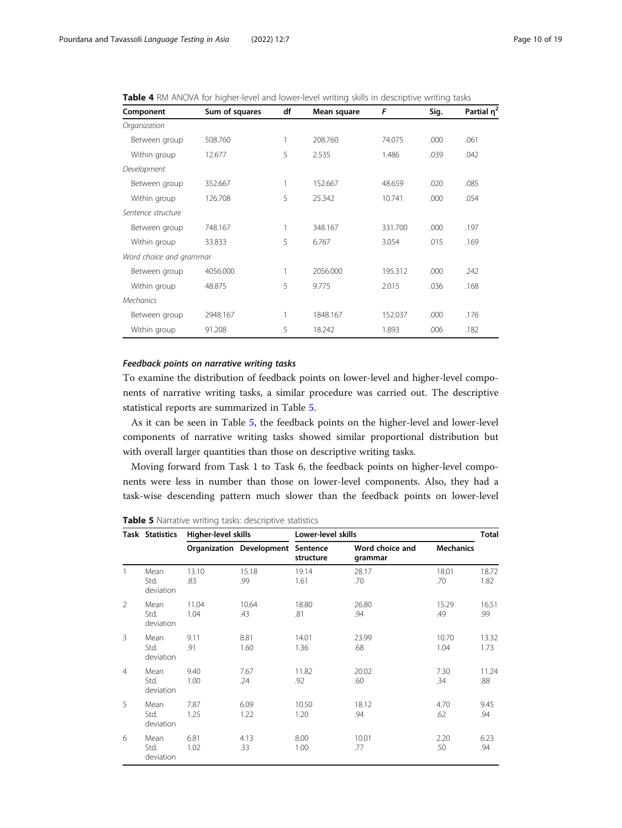<span id="page-9-0"></span>Table 4 RM ANOVA for higher-level and lower-level writing skills in descriptive writing tasks

| Component               | Sum of squares | df | Mean square | F       | Sig. | Partial n <sup>2</sup> |
|-------------------------|----------------|----|-------------|---------|------|------------------------|
| Organization            |                |    |             |         |      |                        |
| Between group           | 508.760        | 1  | 208.760     | 74.075  | .000 | .061                   |
| Within group            | 12.677         | 5  | 2.535       | 1.486   | .039 | .042                   |
| Development             |                |    |             |         |      |                        |
| Between group           | 352.667        | 1  | 152.667     | 48.659  | .020 | .085                   |
| Within group            | 126.708        | 5  | 25.342      | 10.741  | .000 | .054                   |
| Sentence structure      |                |    |             |         |      |                        |
| Between group           | 748.167        | 1  | 348.167     | 331.700 | .000 | .197                   |
| Within group            | 33.833         | 5  | 6.767       | 3.054   | .015 | .169                   |
| Word choice and grammar |                |    |             |         |      |                        |
| Between group           | 4056.000       | 1  | 2056.000    | 195.312 | .000 | .242                   |
| Within group            | 48.875         | 5  | 9.775       | 2.015   | .036 | .168                   |
| <b>Mechanics</b>        |                |    |             |         |      |                        |
| Between group           | 2948.167       | 1  | 1848.167    | 152.037 | .000 | .176                   |
| Within group            | 91.208         | 5  | 18.242      | 1.893   | .006 | .182                   |

## Feedback points on narrative writing tasks

To examine the distribution of feedback points on lower-level and higher-level components of narrative writing tasks, a similar procedure was carried out. The descriptive statistical reports are summarized in Table 5.

As it can be seen in Table 5, the feedback points on the higher-level and lower-level components of narrative writing tasks showed similar proportional distribution but with overall larger quantities than those on descriptive writing tasks.

Moving forward from Task 1 to Task 6, the feedback points on higher-level components were less in number than those on lower-level components. Also, they had a task-wise descending pattern much slower than the feedback points on lower-level

Table 5 Narrative writing tasks: descriptive statistics

|                | Task Statistics           | Higher-level skills |                                          | Lower-level skills |                            |                  |               |
|----------------|---------------------------|---------------------|------------------------------------------|--------------------|----------------------------|------------------|---------------|
|                |                           |                     | <b>Organization Development Sentence</b> | structure          | Word choice and<br>grammar | <b>Mechanics</b> |               |
| $\mathbf{1}$   | Mean<br>Std.<br>deviation | 13.10<br>.83        | 15.18<br>.99                             | 19.14<br>1.61      | 28.17<br>.70               | 18.01<br>.70     | 18.72<br>1.82 |
| $\mathcal{P}$  | Mean<br>Std.<br>deviation | 11.04<br>1.04       | 10.64<br>.43                             | 18.80<br>.81       | 26.80<br>.94               | 15.29<br>.49     | 16.51<br>.99  |
| 3              | Mean<br>Std.<br>deviation | 9.11<br>.91         | 8.81<br>1.60                             | 14.01<br>1.36      | 23.99<br>.68               | 10.70<br>1.04    | 13.32<br>1.73 |
| $\overline{4}$ | Mean<br>Std.<br>deviation | 9.40<br>1.00        | 7.67<br>.24                              | 11.82<br>.92       | 20.02<br>.60               | 7.30<br>.34      | 11.24<br>.88  |
| 5              | Mean<br>Std.<br>deviation | 7.87<br>1.25        | 6.09<br>1.22                             | 10.50<br>1.20      | 18.12<br>.94               | 4.70<br>.62      | 9.45<br>.94   |
| 6              | Mean<br>Std.<br>deviation | 6.81<br>1.02        | 4.13<br>.33                              | 8.00<br>1.00       | 10.01<br>.77               | 2.20<br>.50      | 6.23<br>.94   |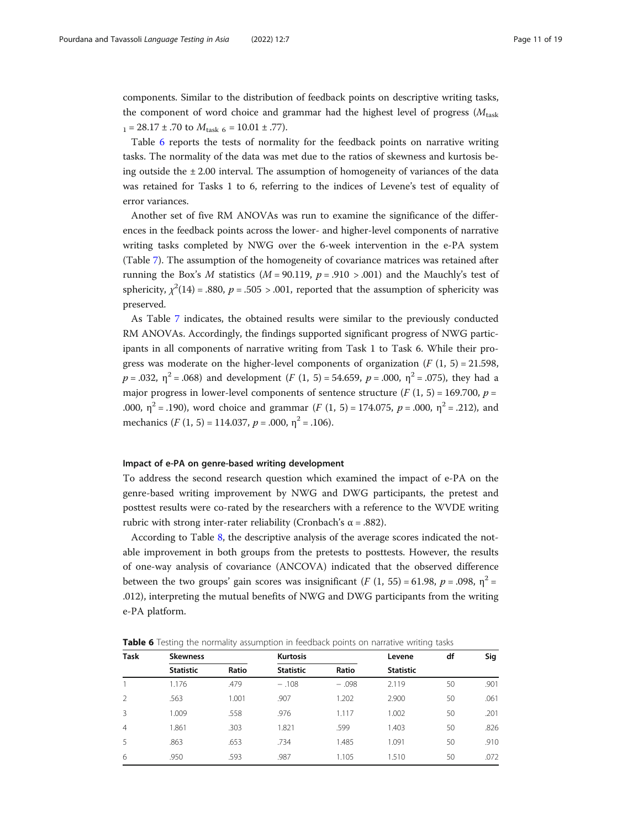components. Similar to the distribution of feedback points on descriptive writing tasks, the component of word choice and grammar had the highest level of progress ( $M<sub>task</sub>$ )  $_{1}$  = 28.17 ± .70 to  $M_{\text{task } 6}$  = 10.01 ± .77).

Table 6 reports the tests of normality for the feedback points on narrative writing tasks. The normality of the data was met due to the ratios of skewness and kurtosis being outside the  $\pm 2.00$  interval. The assumption of homogeneity of variances of the data was retained for Tasks 1 to 6, referring to the indices of Levene's test of equality of error variances.

Another set of five RM ANOVAs was run to examine the significance of the differences in the feedback points across the lower- and higher-level components of narrative writing tasks completed by NWG over the 6-week intervention in the e-PA system (Table [7\)](#page-11-0). The assumption of the homogeneity of covariance matrices was retained after running the Box's M statistics ( $M = 90.119$ ,  $p = .910 > .001$ ) and the Mauchly's test of sphericity,  $\chi^2(14) = .880$ ,  $p = .505 > .001$ , reported that the assumption of sphericity was preserved.

As Table [7](#page-11-0) indicates, the obtained results were similar to the previously conducted RM ANOVAs. Accordingly, the findings supported significant progress of NWG participants in all components of narrative writing from Task 1 to Task 6. While their progress was moderate on the higher-level components of organization  $(F (1, 5) = 21.598$ ,  $p = .032$ ,  $\eta^2 = .068$ ) and development (F (1, 5) = 54.659, p = .000,  $\eta^2 = .075$ ), they had a major progress in lower-level components of sentence structure ( $F(1, 5) = 169.700$ ,  $p =$ .000,  $\eta^2$  = .190), word choice and grammar (*F* (1, 5) = 174.075, *p* = .000,  $\eta^2$  = .212), and mechanics  $(F (1, 5) = 114.037, p = .000, \eta^2 = .106)$ .

## Impact of e-PA on genre-based writing development

To address the second research question which examined the impact of e-PA on the genre-based writing improvement by NWG and DWG participants, the pretest and posttest results were co-rated by the researchers with a reference to the WVDE writing rubric with strong inter-rater reliability (Cronbach's α = .882).

According to Table [8](#page-11-0), the descriptive analysis of the average scores indicated the notable improvement in both groups from the pretests to posttests. However, the results of one-way analysis of covariance (ANCOVA) indicated that the observed difference between the two groups' gain scores was insignificant (F (1, 55) = 61.98, p = .098,  $\eta^2$  = .012), interpreting the mutual benefits of NWG and DWG participants from the writing e-PA platform.

**Table 6** Testing the normality assumption in feedback points on narrative writing tasks

| <b>Task</b>    | <b>Skewness</b>  |       | <b>Kurtosis</b>  |         | Levene           | df | Sig  |
|----------------|------------------|-------|------------------|---------|------------------|----|------|
|                | <b>Statistic</b> | Ratio | <b>Statistic</b> | Ratio   | <b>Statistic</b> |    |      |
|                | 1.176            | .479  | $-.108$          | $-.098$ | 2.119            | 50 | .901 |
| $\mathcal{P}$  | .563             | 1.001 | .907             | 1.202   | 2.900            | 50 | .061 |
| 3              | 1.009            | .558  | .976             | 1.117   | 1.002            | 50 | .201 |
| $\overline{4}$ | 1.861            | .303  | 1.821            | .599    | 1.403            | 50 | .826 |
| 5              | .863             | .653  | .734             | 1.485   | 1.091            | 50 | .910 |
| 6              | .950             | .593  | .987             | 1.105   | 1.510            | 50 | .072 |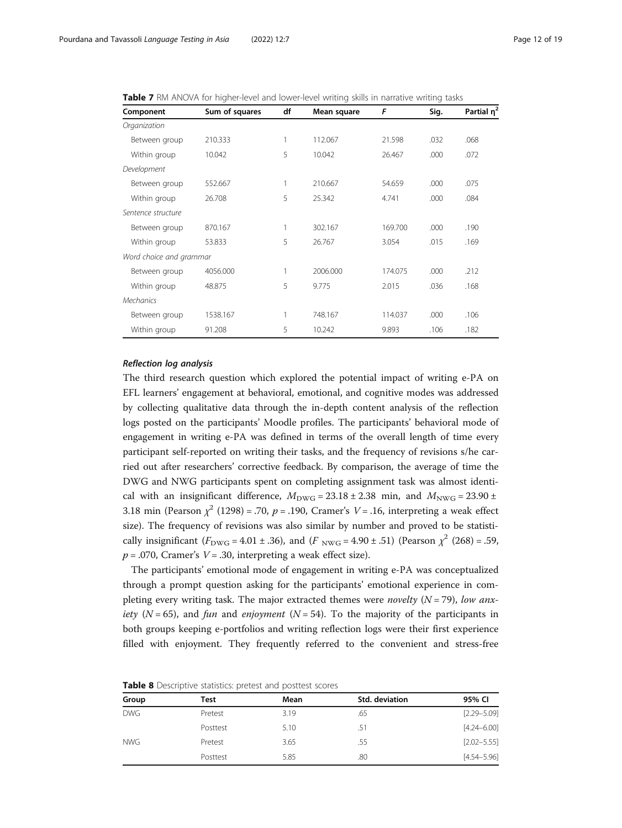<span id="page-11-0"></span>Table 7 RM ANOVA for higher-level and lower-level writing skills in narrative writing tasks

| Component               | Sum of squares | df | Mean square | F       | Sig. | Partial $\eta^2$ |
|-------------------------|----------------|----|-------------|---------|------|------------------|
| Organization            |                |    |             |         |      |                  |
| Between group           | 210.333        | 1  | 112.067     | 21.598  | .032 | .068             |
| Within group            | 10.042         | 5  | 10.042      | 26.467  | .000 | .072             |
| Development             |                |    |             |         |      |                  |
| Between group           | 552.667        | 1  | 210.667     | 54.659  | .000 | .075             |
| Within group            | 26.708         | 5  | 25.342      | 4.741   | .000 | .084             |
| Sentence structure      |                |    |             |         |      |                  |
| Between group           | 870.167        |    | 302.167     | 169.700 | .000 | .190             |
| Within group            | 53.833         | 5  | 26.767      | 3.054   | .015 | .169             |
| Word choice and grammar |                |    |             |         |      |                  |
| Between group           | 4056.000       |    | 2006.000    | 174.075 | .000 | .212             |
| Within group            | 48.875         | 5  | 9.775       | 2.015   | .036 | .168             |
| <b>Mechanics</b>        |                |    |             |         |      |                  |
| Between group           | 1538.167       |    | 748.167     | 114.037 | .000 | .106             |
| Within group            | 91.208         | 5  | 10.242      | 9.893   | .106 | .182             |

# Reflection log analysis

The third research question which explored the potential impact of writing e-PA on EFL learners' engagement at behavioral, emotional, and cognitive modes was addressed by collecting qualitative data through the in-depth content analysis of the reflection logs posted on the participants' Moodle profiles. The participants' behavioral mode of engagement in writing e-PA was defined in terms of the overall length of time every participant self-reported on writing their tasks, and the frequency of revisions s/he carried out after researchers' corrective feedback. By comparison, the average of time the DWG and NWG participants spent on completing assignment task was almost identical with an insignificant difference,  $M_{\text{DWG}} = 23.18 \pm 2.38$  min, and  $M_{\text{NWG}} = 23.90 \pm 1.00$ 3.18 min (Pearson  $\chi^2$  (1298) = .70, p = .190, Cramer's V = .16, interpreting a weak effect size). The frequency of revisions was also similar by number and proved to be statistically insignificant ( $F_{\text{DWG}} = 4.01 \pm .36$ ), and ( $F_{\text{NWG}} = 4.90 \pm .51$ ) (Pearson  $\chi^2$  (268) = .59,  $p = .070$ , Cramer's  $V = .30$ , interpreting a weak effect size).

The participants' emotional mode of engagement in writing e-PA was conceptualized through a prompt question asking for the participants' emotional experience in completing every writing task. The major extracted themes were *novelty*  $(N = 79)$ , low anx*iety* ( $N = 65$ ), and *fun* and *enjoyment* ( $N = 54$ ). To the majority of the participants in both groups keeping e-portfolios and writing reflection logs were their first experience filled with enjoyment. They frequently referred to the convenient and stress-free

| Group      | Test     | Mean | Std. deviation | 95% CI          |
|------------|----------|------|----------------|-----------------|
| <b>DWG</b> | Pretest  | 3.19 | .65            | $[2.29 - 5.09]$ |
|            | Posttest | 5.10 | .51            | $[4.24 - 6.00]$ |
| <b>NWG</b> | Pretest  | 3.65 | .55            | $[2.02 - 5.55]$ |
|            | Posttest | 5.85 | .80            | $[4.54 - 5.96]$ |

Table 8 Descriptive statistics: pretest and posttest scores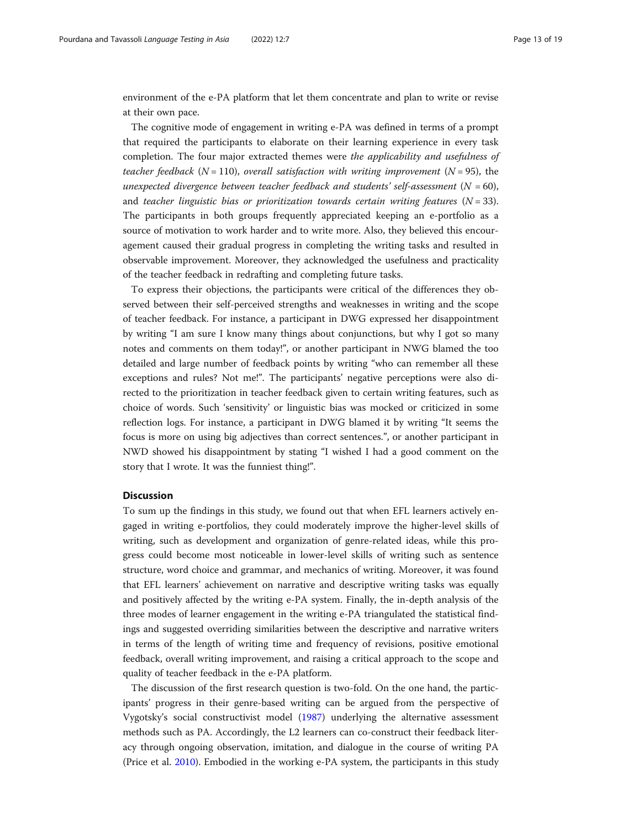environment of the e-PA platform that let them concentrate and plan to write or revise at their own pace.

The cognitive mode of engagement in writing e-PA was defined in terms of a prompt that required the participants to elaborate on their learning experience in every task completion. The four major extracted themes were the applicability and usefulness of teacher feedback ( $N = 110$ ), overall satisfaction with writing improvement ( $N = 95$ ), the unexpected divergence between teacher feedback and students' self-assessment  $(N = 60)$ , and teacher linguistic bias or prioritization towards certain writing features  $(N = 33)$ . The participants in both groups frequently appreciated keeping an e-portfolio as a source of motivation to work harder and to write more. Also, they believed this encouragement caused their gradual progress in completing the writing tasks and resulted in observable improvement. Moreover, they acknowledged the usefulness and practicality of the teacher feedback in redrafting and completing future tasks.

To express their objections, the participants were critical of the differences they observed between their self-perceived strengths and weaknesses in writing and the scope of teacher feedback. For instance, a participant in DWG expressed her disappointment by writing "I am sure I know many things about conjunctions, but why I got so many notes and comments on them today!", or another participant in NWG blamed the too detailed and large number of feedback points by writing "who can remember all these exceptions and rules? Not me!". The participants' negative perceptions were also directed to the prioritization in teacher feedback given to certain writing features, such as choice of words. Such 'sensitivity' or linguistic bias was mocked or criticized in some reflection logs. For instance, a participant in DWG blamed it by writing "It seems the focus is more on using big adjectives than correct sentences.", or another participant in NWD showed his disappointment by stating "I wished I had a good comment on the story that I wrote. It was the funniest thing!".

## **Discussion**

To sum up the findings in this study, we found out that when EFL learners actively engaged in writing e-portfolios, they could moderately improve the higher-level skills of writing, such as development and organization of genre-related ideas, while this progress could become most noticeable in lower-level skills of writing such as sentence structure, word choice and grammar, and mechanics of writing. Moreover, it was found that EFL learners' achievement on narrative and descriptive writing tasks was equally and positively affected by the writing e-PA system. Finally, the in-depth analysis of the three modes of learner engagement in the writing e-PA triangulated the statistical findings and suggested overriding similarities between the descriptive and narrative writers in terms of the length of writing time and frequency of revisions, positive emotional feedback, overall writing improvement, and raising a critical approach to the scope and quality of teacher feedback in the e-PA platform.

The discussion of the first research question is two-fold. On the one hand, the participants' progress in their genre-based writing can be argued from the perspective of Vygotsky's social constructivist model ([1987](#page-18-0)) underlying the alternative assessment methods such as PA. Accordingly, the L2 learners can co-construct their feedback literacy through ongoing observation, imitation, and dialogue in the course of writing PA (Price et al. [2010\)](#page-18-0). Embodied in the working e-PA system, the participants in this study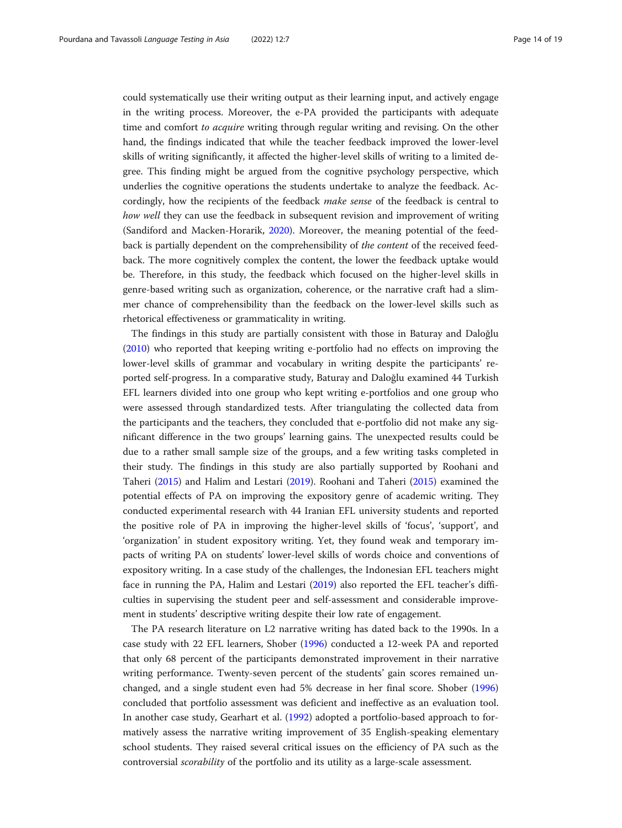could systematically use their writing output as their learning input, and actively engage in the writing process. Moreover, the e-PA provided the participants with adequate time and comfort to *acquire* writing through regular writing and revising. On the other hand, the findings indicated that while the teacher feedback improved the lower-level skills of writing significantly, it affected the higher-level skills of writing to a limited degree. This finding might be argued from the cognitive psychology perspective, which underlies the cognitive operations the students undertake to analyze the feedback. Accordingly, how the recipients of the feedback *make sense* of the feedback is central to how well they can use the feedback in subsequent revision and improvement of writing (Sandiford and Macken-Horarik, [2020](#page-18-0)). Moreover, the meaning potential of the feedback is partially dependent on the comprehensibility of the content of the received feedback. The more cognitively complex the content, the lower the feedback uptake would be. Therefore, in this study, the feedback which focused on the higher-level skills in genre-based writing such as organization, coherence, or the narrative craft had a slimmer chance of comprehensibility than the feedback on the lower-level skills such as rhetorical effectiveness or grammaticality in writing.

The findings in this study are partially consistent with those in Baturay and Daloğlu ([2010](#page-16-0)) who reported that keeping writing e-portfolio had no effects on improving the lower-level skills of grammar and vocabulary in writing despite the participants' reported self-progress. In a comparative study, Baturay and Daloğlu examined 44 Turkish EFL learners divided into one group who kept writing e-portfolios and one group who were assessed through standardized tests. After triangulating the collected data from the participants and the teachers, they concluded that e-portfolio did not make any significant difference in the two groups' learning gains. The unexpected results could be due to a rather small sample size of the groups, and a few writing tasks completed in their study. The findings in this study are also partially supported by Roohani and Taheri [\(2015\)](#page-18-0) and Halim and Lestari ([2019](#page-17-0)). Roohani and Taheri ([2015](#page-18-0)) examined the potential effects of PA on improving the expository genre of academic writing. They conducted experimental research with 44 Iranian EFL university students and reported the positive role of PA in improving the higher-level skills of 'focus', 'support', and 'organization' in student expository writing. Yet, they found weak and temporary impacts of writing PA on students' lower-level skills of words choice and conventions of expository writing. In a case study of the challenges, the Indonesian EFL teachers might face in running the PA, Halim and Lestari ([2019](#page-17-0)) also reported the EFL teacher's difficulties in supervising the student peer and self-assessment and considerable improvement in students' descriptive writing despite their low rate of engagement.

The PA research literature on L2 narrative writing has dated back to the 1990s. In a case study with 22 EFL learners, Shober ([1996](#page-18-0)) conducted a 12-week PA and reported that only 68 percent of the participants demonstrated improvement in their narrative writing performance. Twenty-seven percent of the students' gain scores remained unchanged, and a single student even had 5% decrease in her final score. Shober ([1996](#page-18-0)) concluded that portfolio assessment was deficient and ineffective as an evaluation tool. In another case study, Gearhart et al. [\(1992\)](#page-17-0) adopted a portfolio-based approach to formatively assess the narrative writing improvement of 35 English-speaking elementary school students. They raised several critical issues on the efficiency of PA such as the controversial scorability of the portfolio and its utility as a large-scale assessment.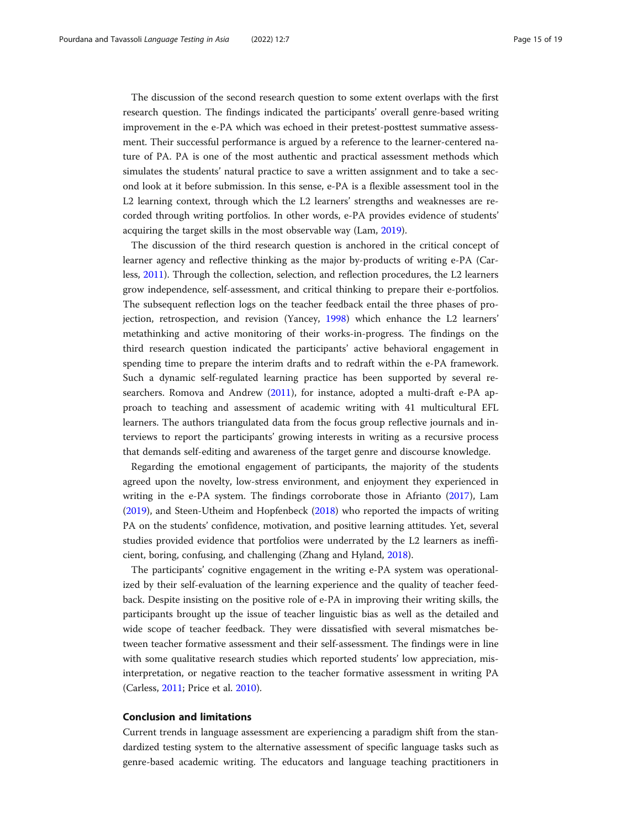The discussion of the second research question to some extent overlaps with the first research question. The findings indicated the participants' overall genre-based writing improvement in the e-PA which was echoed in their pretest-posttest summative assessment. Their successful performance is argued by a reference to the learner-centered nature of PA. PA is one of the most authentic and practical assessment methods which simulates the students' natural practice to save a written assignment and to take a second look at it before submission. In this sense, e-PA is a flexible assessment tool in the L2 learning context, through which the L2 learners' strengths and weaknesses are recorded through writing portfolios. In other words, e-PA provides evidence of students' acquiring the target skills in the most observable way (Lam, [2019\)](#page-17-0).

The discussion of the third research question is anchored in the critical concept of learner agency and reflective thinking as the major by-products of writing e-PA (Carless, [2011\)](#page-16-0). Through the collection, selection, and reflection procedures, the L2 learners grow independence, self-assessment, and critical thinking to prepare their e-portfolios. The subsequent reflection logs on the teacher feedback entail the three phases of projection, retrospection, and revision (Yancey, [1998\)](#page-18-0) which enhance the L2 learners' metathinking and active monitoring of their works-in-progress. The findings on the third research question indicated the participants' active behavioral engagement in spending time to prepare the interim drafts and to redraft within the e-PA framework. Such a dynamic self-regulated learning practice has been supported by several researchers. Romova and Andrew [\(2011\)](#page-18-0), for instance, adopted a multi-draft e-PA approach to teaching and assessment of academic writing with 41 multicultural EFL learners. The authors triangulated data from the focus group reflective journals and interviews to report the participants' growing interests in writing as a recursive process that demands self-editing and awareness of the target genre and discourse knowledge.

Regarding the emotional engagement of participants, the majority of the students agreed upon the novelty, low-stress environment, and enjoyment they experienced in writing in the e-PA system. The findings corroborate those in Afrianto [\(2017\)](#page-16-0), Lam ([2019](#page-17-0)), and Steen-Utheim and Hopfenbeck [\(2018](#page-18-0)) who reported the impacts of writing PA on the students' confidence, motivation, and positive learning attitudes. Yet, several studies provided evidence that portfolios were underrated by the L2 learners as inefficient, boring, confusing, and challenging (Zhang and Hyland, [2018\)](#page-18-0).

The participants' cognitive engagement in the writing e-PA system was operationalized by their self-evaluation of the learning experience and the quality of teacher feedback. Despite insisting on the positive role of e-PA in improving their writing skills, the participants brought up the issue of teacher linguistic bias as well as the detailed and wide scope of teacher feedback. They were dissatisfied with several mismatches between teacher formative assessment and their self-assessment. The findings were in line with some qualitative research studies which reported students' low appreciation, misinterpretation, or negative reaction to the teacher formative assessment in writing PA (Carless, [2011;](#page-16-0) Price et al. [2010\)](#page-18-0).

#### Conclusion and limitations

Current trends in language assessment are experiencing a paradigm shift from the standardized testing system to the alternative assessment of specific language tasks such as genre-based academic writing. The educators and language teaching practitioners in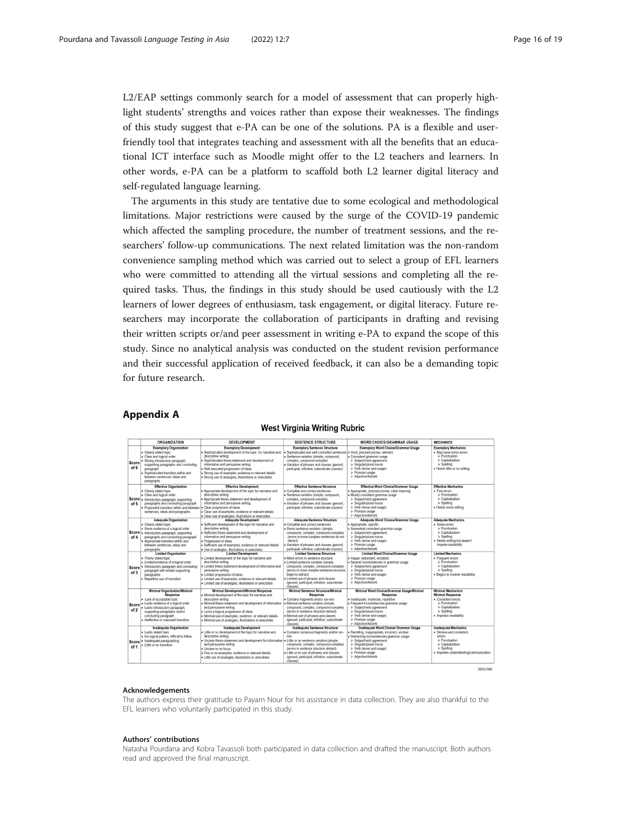<span id="page-15-0"></span>L2/EAP settings commonly search for a model of assessment that can properly highlight students' strengths and voices rather than expose their weaknesses. The findings of this study suggest that e-PA can be one of the solutions. PA is a flexible and userfriendly tool that integrates teaching and assessment with all the benefits that an educational ICT interface such as Moodle might offer to the L2 teachers and learners. In other words, e-PA can be a platform to scaffold both L2 learner digital literacy and self-regulated language learning.

The arguments in this study are tentative due to some ecological and methodological limitations. Major restrictions were caused by the surge of the COVID-19 pandemic which affected the sampling procedure, the number of treatment sessions, and the researchers' follow-up communications. The next related limitation was the non-random convenience sampling method which was carried out to select a group of EFL learners who were committed to attending all the virtual sessions and completing all the required tasks. Thus, the findings in this study should be used cautiously with the L2 learners of lower degrees of enthusiasm, task engagement, or digital literacy. Future researchers may incorporate the collaboration of participants in drafting and revising their written scripts or/and peer assessment in writing e-PA to expand the scope of this study. Since no analytical analysis was conducted on the student revision performance and their successful application of received feedback, it can also be a demanding topic for future research.

# Appendix A

#### **West Virginia Writing Rubric**

|      | ORGANIZATION                                                                                                                                                                                                                            | <b>DEVELOPMENT</b>                                                                                                                                                                                                                                                                                                                    | <b>SENTENCE STRUCTURE</b>                                                                                                                                                                                                                                                                   | <b>WORD CHOICE/GRAMMAR USAGE</b>                                                                                                                                                                                                       | <b>MECHANICS</b>                                                                                                                                   |
|------|-----------------------------------------------------------------------------------------------------------------------------------------------------------------------------------------------------------------------------------------|---------------------------------------------------------------------------------------------------------------------------------------------------------------------------------------------------------------------------------------------------------------------------------------------------------------------------------------|---------------------------------------------------------------------------------------------------------------------------------------------------------------------------------------------------------------------------------------------------------------------------------------------|----------------------------------------------------------------------------------------------------------------------------------------------------------------------------------------------------------------------------------------|----------------------------------------------------------------------------------------------------------------------------------------------------|
|      | <b>Exemplary Organization</b>                                                                                                                                                                                                           | <b>Exemplary Development</b>                                                                                                                                                                                                                                                                                                          | <b>Exemplary Sentence Structure</b>                                                                                                                                                                                                                                                         | <b>Exemplary Word Choice/Grammar Usage</b>                                                                                                                                                                                             | <b>Exemplary Mechanics</b>                                                                                                                         |
| of 6 | · Clearly stated topic<br>· Clear and logical order<br>Score Strong introductory paragraph,<br>supporting paragraphs and concluding<br>paragraph<br>· Sophisticated transition within and<br>between sentences, ideas and<br>paragraphs | Sophisticated development of the topic for narrative and<br>descriptive writing<br>Sophisticated thesis statement and development of<br>informative and persuasive writing<br>· Well executed progression of ideas<br>· Strong use of examples, evidence or relevant details<br>· Strong use of analogies, illustrations or anecdotes | · Sophisticated and well controlled sentences . Vivid, precise/concise, relevant<br>· Sentence variation (simple, compound,<br>complex, compound-complex)<br>Variation of phrases and clauses (gerund.<br>participial. infinitive: subordinate clauses)                                     | · Consistent grammar usage<br>> Subiect/verb agreement<br>> Singular/plural nouns<br>> Verb (tense and usage)<br>> Pronoun usage<br>> Adiective/Adverb                                                                                 | . May have minor errors<br>$\triangleright$ Punctuation<br>> Capitalization<br>$\geq$ Spelling<br>· Needs little or no editing                     |
|      | <b>Effective Organization</b>                                                                                                                                                                                                           | <b>Effective Development</b>                                                                                                                                                                                                                                                                                                          | <b>Effective Sentence Structure</b>                                                                                                                                                                                                                                                         | <b>Effective Word Choice/Grammar Usage</b>                                                                                                                                                                                             | <b>Effective Mechanics</b>                                                                                                                         |
| of 5 | · Clearly stated topic<br>· Clear and logical order<br>Score . Introductory paragraph, supporting<br>paragraphs and concluding paragraph<br>· Purposeful transition within and between<br>sentences, ideas and paragraphs               | . Appropriate development of the topic for narrative and<br>descriptive writing<br>. Appropriate thesis statement and development of<br>informative and persuasive writing<br>· Clear progression of ideas<br>· Clear use of examples, evidence or relevant details<br>· Clear use of analogies, illustrations or anecdotes           | Complete and correct sentences<br>Sentence variation (simple, compound,<br>complex. compound-complex)<br>Variation of phrases and clauses (gerund,<br>participial, infinitive: subordinate clauses)                                                                                         | · Appropriate, precise/concise, clear meaning<br>· Mostly consistent grammar usage<br>> Subject/verb agreement<br>> Singular/plural nouns<br>> Verb (tense and usage)<br>> Pronoun usage<br>> Adiective/Adverb                         | · Few errors<br>$\geq$ Punctuation<br>> Capitalization<br>$\geq$ Spelling<br>· Needs some editing                                                  |
|      | <b>Adequate Organization</b>                                                                                                                                                                                                            | <b>Adequate Development</b>                                                                                                                                                                                                                                                                                                           | <b>Adequate Sentence Structure</b>                                                                                                                                                                                                                                                          | Adequate Word Choice/Grammar Usage                                                                                                                                                                                                     | <b>Adequate Mechanics</b>                                                                                                                          |
| of 4 | · Clearly stated topic<br>· Some evidence of a logical order<br>Score . Introductory paragraph, supporting<br>paragraphs and concluding paragraph<br>· Appropriate transition within and<br>between sentences, ideas and<br>paragraphs  | Sufficient development of the topic for narrative and<br>descriptive writing<br>Sufficient thesis statement and development of<br>informative and persuasive writing<br>· Progression of ideas<br>· Sufficient use of examples, evidence or relevant details<br>· Use of analogies, illustrations or anecdotes                        | · Complete and correct sentences<br>· Some sentence variation (simple.<br>compound, complex, compound-complex)<br>(errors in more complex sentences do not<br>detract)<br>Variation of phrases and clauses (gerund,<br>participial, infinitive; subordinate clauses)                        | · Appropriate, specific<br>· Somewhat consistent grammar usage<br>> Subject/verb agreement<br>> Singular/plural nouns<br>> Verb (tense and usage)<br>> Pronoun usage<br>> Adiective/Adverb                                             | · Some errors<br>$\triangleright$ Punctuation<br>> Capitalization<br>$\geq$ Spelling<br>· Needs editing but doesn't<br>impede readability          |
|      | <b>Limited Organization</b>                                                                                                                                                                                                             | <b>Limited Development</b>                                                                                                                                                                                                                                                                                                            | <b>Limited Sentence Structure</b>                                                                                                                                                                                                                                                           | <b>Limited Word Choice/Grammar Usage</b>                                                                                                                                                                                               | <b>Limited Mechanics</b>                                                                                                                           |
| of 3 | · Poorly stated topic<br>. Limited evidence of a logical order<br>Score   Introductory paragraph and concluding<br>paragraph with limited supporting<br>paragraphs<br>· Repetitive use of transition                                    | . Limited development of the topic for narrative and<br>descriptive writing<br>Limited thesis statement development of informative and<br>persuasive writing<br>· Limited progression of ideas<br>· Limited use of examples, evidence or relevant details<br>· Limited use of analogies, illustrations or anecdotes                   | · Minor errors in sentence structure<br>· Limited sentence variation (simple.<br>compound, complex, compound-complex)<br>(errors in more complex sentence structure<br>begin to detract)<br>Limited use of phrases and clauses<br>(gerund, participial, infinitive; subordinate<br>clauses) | · Vague, redundant, simplistic<br>· Several inconsistencies in grammar usage<br>> Subiect/verb agreement<br>$\triangleright$ Singular/plural nouns<br>> Verb (tense and usage)<br>> Pronoun usage<br>> Adiective/Adverb                | · Frequent errors<br>$\triangleright$ Punctuation<br>> Capitalization<br>$\geq$ Spelling<br>· Begins to impede readability                         |
|      | <b>Minimal Organization/Minimal</b>                                                                                                                                                                                                     | Minimal Development/Minimal Response                                                                                                                                                                                                                                                                                                  | Minimal Sentence Structure/Minimal                                                                                                                                                                                                                                                          | Minimal Word Choice/Grammar Usage/Minimal                                                                                                                                                                                              | <b>Minimal Mechanics/</b>                                                                                                                          |
| of 2 | Response<br>· Lack of acceptable topic<br>Score . Lacks evidence of a logical order<br>· Lacks introductory paragraph.<br>supporting paragraphs and/or<br>concluding paragraph<br>· Ineffective or overused transition                  | . Minimal development of the topic for narrative and<br>descriptive writing<br>. Minimal thesis statement and development of informative<br>and persuasive writing<br>· Lacks a logical progression of ideas<br>· Minimal use of examples, evidence or relevant details<br>· Minimal use of analogies, illustrations or anecdotes     | Response<br>Contains fragments and/or run-ons<br>· Minimal sentence variation (simple,<br>compound, complex, compound-complex)<br>(errors in sentence structure detract)<br>Minimal use of phrases and clauses<br>(gerund, participial, infinitive: subordinate<br>clauses)                 | Response<br>· Inadequate, imprecise, repetitive<br>· Frequent inconsistencies grammar usage<br>> Subiect/verb agreement<br>$\triangleright$ Singular/plural nouns<br>> Verb (tense and usage)<br>> Pronoun usage<br>> Adiective/Adverb | <b>Minimal Response</b><br>• Consistent errors<br>> Punctuation<br>> Capitalization<br>$\triangleright$ Spelling<br>· Impedes readability          |
|      | <b>Inadequate Organization</b>                                                                                                                                                                                                          | <b>Inadequate Development</b>                                                                                                                                                                                                                                                                                                         | Inadequate Sentence Structure                                                                                                                                                                                                                                                               | Inadequate Word Choice/ Grammar Usage                                                                                                                                                                                                  | <b>Inadequate Mechanics</b>                                                                                                                        |
| of 1 | · Lacks stated topic<br>. No logical pattern; difficult to follow<br>Score · Inadequate paragraphing<br>· Little or no transition                                                                                                       | . Little or no development of the topic for narrative and<br>descriptive writing<br>. Unclear thesis statement and development for informative<br>and persuasive writing<br>· Unclear or no focus<br>· Few or no examples, evidence or relevant details<br>· Little use of analogies, illustrations or anecdotes                      | Contains numerous fragments and/or run-<br>ons<br>Little or no sentence variation (simple,<br>compound, complex, compound-complex)<br>(errors in sentence structure detract)<br>Little or no use of phrases and clauses<br>(gerund, participial, infinitive; subordinate<br>clauses)        | · Rambling, inappropriate, incorrect, unclear<br>· Distracting inconsistencies grammar usage<br>> Subject/verb agreement<br>> Singular/plural nouns<br>> Verb (tense and usage)<br>> Pronoun usage<br>> Adiective/Adverb               | · Serious and consistent<br>errors<br>$\triangleright$ Punctuation<br>> Capitalization<br>$\geq$ Spelling<br>· Impedes understanding/communication |

#### Acknowledgements

The authors express their gratitude to Payam Nour for his assistance in data collection. They are also thankful to the EFL learners who voluntarily participated in this study.

#### Authors' contributions

Natasha Pourdana and Kobra Tavassoli both participated in data collection and drafted the manuscript. Both authors read and approved the final manuscript.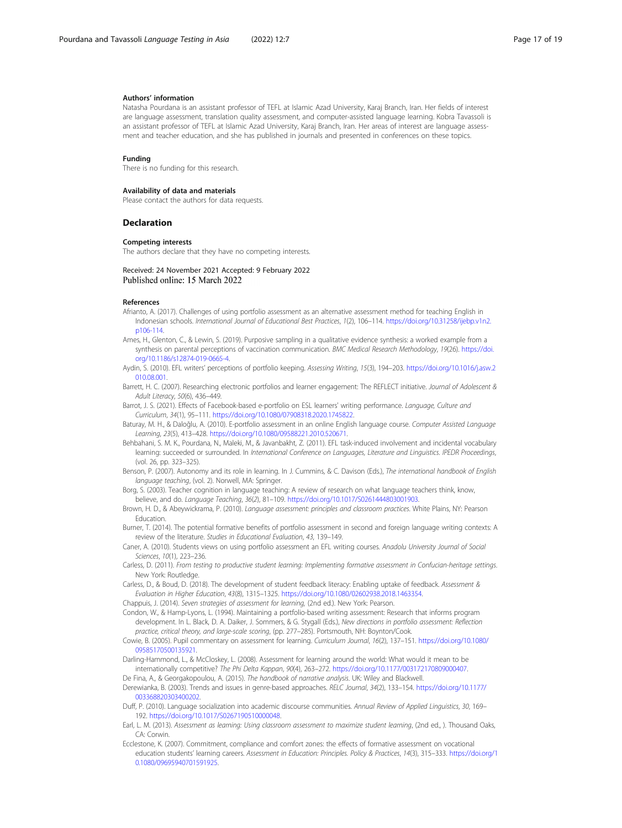#### <span id="page-16-0"></span>Authors' information

Natasha Pourdana is an assistant professor of TEFL at Islamic Azad University, Karaj Branch, Iran. Her fields of interest are language assessment, translation quality assessment, and computer-assisted language learning. Kobra Tavassoli is an assistant professor of TEFL at Islamic Azad University, Karaj Branch, Iran. Her areas of interest are language assessment and teacher education, and she has published in journals and presented in conferences on these topics.

#### Funding

There is no funding for this research.

#### Availability of data and materials

Please contact the authors for data requests.

#### Declaration

#### Competing interests

The authors declare that they have no competing interests.

#### Received: 24 November 2021 Accepted: 9 February 2022 Published online: 15 March 2022

#### References

- Afrianto, A. (2017). Challenges of using portfolio assessment as an alternative assessment method for teaching English in Indonesian schools. International Journal of Educational Best Practices, 1(2), 106–114. [https://doi.org/10.31258/ijebp.v1n2.](https://doi.org/10.31258/ijebp.v1n2.p106-114) [p106-114](https://doi.org/10.31258/ijebp.v1n2.p106-114).
- Ames, H., Glenton, C., & Lewin, S. (2019). Purposive sampling in a qualitative evidence synthesis: a worked example from a synthesis on parental perceptions of vaccination communication. BMC Medical Research Methodology, 19(26). [https://doi.](https://doi.org/10.1186/s12874-019-0665-4) [org/10.1186/s12874-019-0665-4](https://doi.org/10.1186/s12874-019-0665-4).
- Aydin, S. (2010). EFL writers' perceptions of portfolio keeping. Assessing Writing, 15(3), 194–203. [https://doi.org/10.1016/j.asw.2](https://doi.org/10.1016/j.asw.2010.08.001) [010.08.001](https://doi.org/10.1016/j.asw.2010.08.001).
- Barrett, H. C. (2007). Researching electronic portfolios and learner engagement: The REFLECT initiative. Journal of Adolescent & Adult Literacy, 50(6), 436–449.
- Barrot, J. S. (2021). Effects of Facebook-based e-portfolio on ESL learners' writing performance. Language, Culture and Curriculum, 34(1), 95–111. <https://doi.org/10.1080/07908318.2020.1745822>.
- Baturay, M. H., & Daloğlu, A. (2010). E-portfolio assessment in an online English language course. Computer Assisted Language Learning, 23(5), 413–428. [https://doi.org/10.1080/09588221.2010.520671.](https://doi.org/10.1080/09588221.2010.520671)
- Behbahani, S. M. K., Pourdana, N., Maleki, M., & Javanbakht, Z. (2011). EFL task-induced involvement and incidental vocabulary learning: succeeded or surrounded. In International Conference on Languages, Literature and Linguistics. IPEDR Proceedings, (vol. 26, pp. 323–325).
- Benson, P. (2007). Autonomy and its role in learning. In J. Cummins, & C. Davison (Eds.), The international handbook of English language teaching, (vol. 2). Norwell, MA: Springer.
- Borg, S. (2003). Teacher cognition in language teaching: A review of research on what language teachers think, know, believe, and do. Language Teaching, 36(2), 81–109. [https://doi.org/10.1017/S0261444803001903.](https://doi.org/10.1017/S0261444803001903)
- Brown, H. D., & Abeywickrama, P. (2010). Language assessment: principles and classroom practices. White Plains, NY: Pearson Education.
- Burner, T. (2014). The potential formative benefits of portfolio assessment in second and foreign language writing contexts: A review of the literature. Studies in Educational Evaluation, 43, 139–149.
- Caner, A. (2010). Students views on using portfolio assessment an EFL writing courses. Anadolu University Journal of Social Sciences, 10(1), 223–236.
- Carless, D. (2011). From testing to productive student learning: Implementing formative assessment in Confucian-heritage settings. New York: Routledge.
- Carless, D., & Boud, D. (2018). The development of student feedback literacy: Enabling uptake of feedback. Assessment & Evaluation in Higher Education, 43(8), 1315–1325. <https://doi.org/10.1080/02602938.2018.1463354>.
- Chappuis, J. (2014). Seven strategies of assessment for learning, (2nd ed.). New York: Pearson.
- Condon, W., & Hamp-Lyons, L. (1994). Maintaining a portfolio-based writing assessment: Research that informs program development. In L. Black, D. A. Daiker, J. Sommers, & G. Stygall (Eds.), New directions in portfolio assessment: Reflection practice, critical theory, and large-scale scoring, (pp. 277–285). Portsmouth, NH: Boynton/Cook.
- Cowie, B. (2005). Pupil commentary on assessment for learning. Curriculum Journal, 16(2), 137–151. [https://doi.org/10.1080/](https://doi.org/10.1080/09585170500135921) [09585170500135921.](https://doi.org/10.1080/09585170500135921)
- Darling-Hammond, L., & McCloskey, L. (2008). Assessment for learning around the world: What would it mean to be internationally competitive? The Phi Delta Kappan, 90(4), 263–272. <https://doi.org/10.1177/003172170809000407>.
- De Fina, A., & Georgakopoulou, A. (2015). The handbook of narrative analysis. UK: Wiley and Blackwell.
- Derewianka, B. (2003). Trends and issues in genre-based approaches. RELC Journal, 34(2), 133–154. [https://doi.org/10.1177/](https://doi.org/10.1177/003368820303400202) [003368820303400202](https://doi.org/10.1177/003368820303400202).
- Duff, P. (2010). Language socialization into academic discourse communities. Annual Review of Applied Linguistics, 30, 169– 192. <https://doi.org/10.1017/S0267190510000048>.
- Earl, L. M. (2013). Assessment as learning: Using classroom assessment to maximize student learning, (2nd ed., ). Thousand Oaks, CA: Corwin.
- Ecclestone, K. (2007). Commitment, compliance and comfort zones: the effects of formative assessment on vocational education students' learning careers. Assessment in Education: Principles. Policy & Practices, 14(3), 315–333. [https://doi.org/1](https://doi.org/10.1080/09695940701591925) [0.1080/09695940701591925](https://doi.org/10.1080/09695940701591925).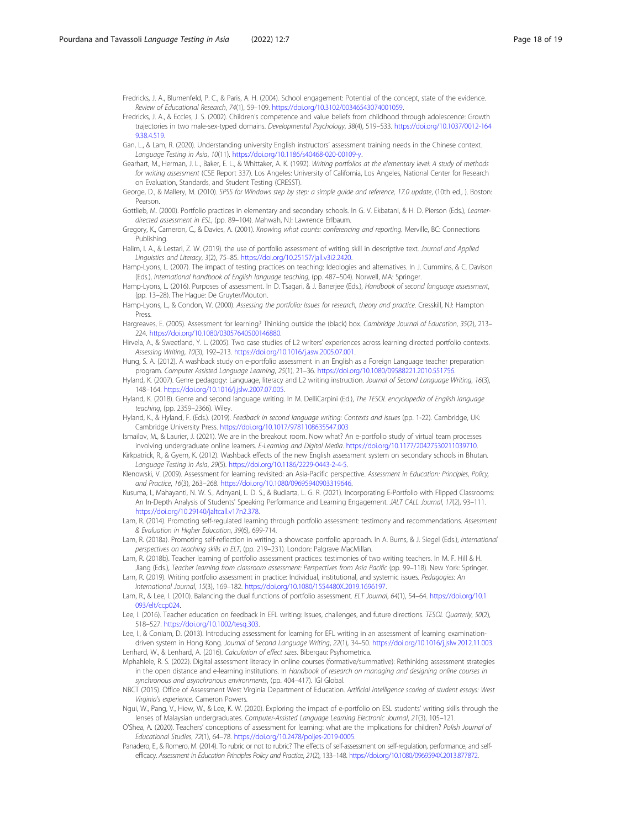<span id="page-17-0"></span>Fredricks, J. A., Blumenfeld, P. C., & Paris, A. H. (2004). School engagement: Potential of the concept, state of the evidence. Review of Educational Research, 74(1), 59–109. [https://doi.org/10.3102/00346543074001059.](https://doi.org/10.3102/00346543074001059)

- Fredricks, J. A., & Eccles, J. S. (2002). Children's competence and value beliefs from childhood through adolescence: Growth trajectories in two male-sex-typed domains. Developmental Psychology, 38(4), 519–533. [https://doi.org/10.1037/0012-164](https://doi.org/10.1037/0012-1649.38.4.519) [9.38.4.519](https://doi.org/10.1037/0012-1649.38.4.519).
- Gan, L., & Lam, R. (2020). Understanding university English instructors' assessment training needs in the Chinese context. Language Testing in Asia, 10(11). <https://doi.org/10.1186/s40468-020-00109-y>.
- Gearhart, M., Herman, J. L., Baker, E. L., & Whittaker, A. K. (1992). Writing portfolios at the elementary level: A study of methods for writing assessment (CSE Report 337). Los Angeles: University of California, Los Angeles, National Center for Research on Evaluation, Standards, and Student Testing (CRESST).
- George, D., & Mallery, M. (2010). SPSS for Windows step by step: a simple guide and reference, 17.0 update, (10th ed., ). Boston: Pearson.
- Gottlieb, M. (2000). Portfolio practices in elementary and secondary schools. In G. V. Ekbatani, & H. D. Pierson (Eds.), Learnerdirected assessment in ESL, (pp. 89–104). Mahwah, NJ: Lawrence Erlbaum.
- Gregory, K., Cameron, C., & Davies, A. (2001). Knowing what counts: conferencing and reporting. Merville, BC: Connections Publishing.
- Halim, I. A., & Lestari, Z. W. (2019). the use of portfolio assessment of writing skill in descriptive text. Journal and Applied Linguistics and Literacy, 3(2), 75–85. <https://doi.org/10.25157/jall.v3i2.2420>.
- Hamp-Lyons, L. (2007). The impact of testing practices on teaching: Ideologies and alternatives. In J. Cummins, & C. Davison (Eds.), International handbook of English language teaching, (pp. 487–504). Norwell, MA: Springer.
- Hamp-Lyons, L. (2016). Purposes of assessment. In D. Tsagari, & J. Banerjee (Eds.), Handbook of second language assessment, (pp. 13–28). The Hague: De Gruyter/Mouton.
- Hamp-Lyons, L., & Condon, W. (2000). Assessing the portfolio: Issues for research, theory and practice. Cresskill, NJ: Hampton Press.
- Hargreaves, E. (2005). Assessment for learning? Thinking outside the (black) box. Cambridge Journal of Education, 35(2), 213– 224. <https://doi.org/10.1080/03057640500146880>.
- Hirvela, A., & Sweetland, Y. L. (2005). Two case studies of L2 writers' experiences across learning directed portfolio contexts. Assessing Writing, 10(3), 192–213. <https://doi.org/10.1016/j.asw.2005.07.001>.
- Hung, S. A. (2012). A washback study on e-portfolio assessment in an English as a Foreign Language teacher preparation program. Computer Assisted Language Learning, 25(1), 21–36. <https://doi.org/10.1080/09588221.2010.551756>.
- Hyland, K. (2007). Genre pedagogy: Language, literacy and L2 writing instruction. Journal of Second Language Writing, 16(3), 148–164. [https://doi.org/10.1016/j.jslw.2007.07.005.](https://doi.org/10.1016/j.jslw.2007.07.005)
- Hyland, K. (2018). Genre and second language writing. In M. DelliCarpini (Ed.), The TESOL encyclopedia of English language teaching, (pp. 2359–2366). Wiley.
- Hyland, K., & Hyland, F. (Eds.). (2019). Feedback in second language writing: Contexts and issues (pp. 1-22). Cambridge, UK: Cambridge University Press. <https://doi.org/10.1017/9781108635547.003>
- Ismailov, M., & Laurier, J. (2021). We are in the breakout room. Now what? An e-portfolio study of virtual team processes involving undergraduate online learners. E-Learning and Digital Media. [https://doi.org/10.1177/20427530211039710.](https://doi.org/10.1177/20427530211039710)
- Kirkpatrick, R., & Gyem, K. (2012). Washback effects of the new English assessment system on secondary schools in Bhutan. Language Testing in Asia, 29(5). <https://doi.org/10.1186/2229-0443-2-4-5>.
- Klenowski, V. (2009). Assessment for learning revisited: an Asia-Pacific perspective. Assessment in Education: Principles, Policy, and Practice, 16(3), 263–268. [https://doi.org/10.1080/09695940903319646.](https://doi.org/10.1080/09695940903319646)
- Kusuma, I., Mahayanti, N. W. S., Adnyani, L. D. S., & Budiarta, L. G. R. (2021). Incorporating E-Portfolio with Flipped Classrooms: An In-Depth Analysis of Students' Speaking Performance and Learning Engagement. JALT CALL Journal, 17(2), 93-111. [https://doi.org/10.29140/jaltcall.v17n2.378.](https://doi.org/10.29140/jaltcall.v17n2.378)
- Lam, R. (2014). Promoting self-regulated learning through portfolio assessment: testimony and recommendations. Assessment & Evaluation in Higher Education, 39(6), 699-714.
- Lam, R. (2018a). Promoting self-reflection in writing: a showcase portfolio approach. In A. Burns, & J. Siegel (Eds.), International perspectives on teaching skills in ELT, (pp. 219–231). London: Palgrave MacMillan.
- Lam, R. (2018b). Teacher learning of portfolio assessment practices: testimonies of two writing teachers. In M. F. Hill & H. Jiang (Eds.), Teacher learning from classroom assessment: Perspectives from Asia Pacific (pp. 99–118). New York: Springer.
- Lam, R. (2019). Writing portfolio assessment in practice: Individual, institutional, and systemic issues. Pedagogies: An International Journal, 15(3), 169–182. <https://doi.org/10.1080/1554480X.2019.1696197>.
- Lam, R., & Lee, I. (2010). Balancing the dual functions of portfolio assessment. ELT Journal, 64(1), 54–64. [https://doi.org/10.1](https://doi.org/10.1093/elt/ccp024) [093/elt/ccp024](https://doi.org/10.1093/elt/ccp024).
- Lee, I. (2016). Teacher education on feedback in EFL writing: Issues, challenges, and future directions. TESOL Quarterly, 50(2), 518–527. [https://doi.org/10.1002/tesq.303.](https://doi.org/10.1002/tesq.303)

Lee, I., & Coniam, D. (2013). Introducing assessment for learning for EFL writing in an assessment of learning examinationdriven system in Hong Kong. Journal of Second Language Writing, 22(1), 34–50. [https://doi.org/10.1016/j.jslw.2012.11.003.](https://doi.org/10.1016/j.jslw.2012.11.003) Lenhard, W., & Lenhard, A. (2016). Calculation of effect sizes. Bibergau: Psyhometrica.

- Mphahlele, R. S. (2022). Digital assessment literacy in online courses (formative/summative): Rethinking assessment strategies in the open distance and e-learning institutions. In Handbook of research on managing and designing online courses in synchronous and asynchronous environments, (pp. 404–417). IGI Global.
- NBCT (2015). Office of Assessment West Virginia Department of Education. Artificial intelligence scoring of student essays: West Virginia's experience. Cameron Powers.
- Ngui, W., Pang, V., Hiew, W., & Lee, K. W. (2020). Exploring the impact of e-portfolio on ESL students' writing skills through the lenses of Malaysian undergraduates. Computer-Assisted Language Learning Electronic Journal, 21(3), 105–121.
- O'Shea, A. (2020). Teachers' conceptions of assessment for learning: what are the implications for children? Polish Journal of Educational Studies, 72(1), 64–78. <https://doi.org/10.2478/poljes-2019-0005>.
- Panadero, E., & Romero, M. (2014). To rubric or not to rubric? The effects of self-assessment on self-regulation, performance, and selfefficacy. Assessment in Education Principles Policy and Practice, 21(2), 133–148. [https://doi.org/10.1080/0969594X.2013.877872.](https://doi.org/10.1080/0969594X.2013.877872)